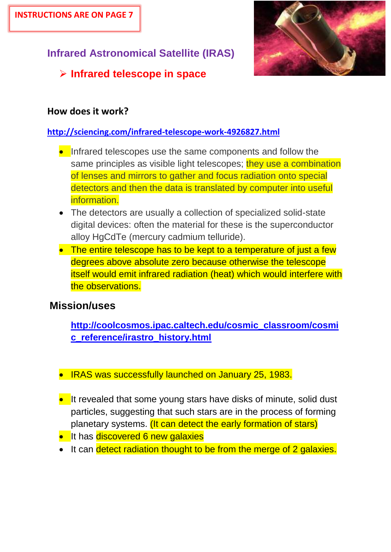# **Infrared Astronomical Satellite (IRAS)**

# **Infrared telescope in space**

## **How does it work?**

## **<http://sciencing.com/infrared-telescope-work-4926827.html>**

- **Infrared telescopes use the same components and follow the** same principles as visible light telescopes; they use a combination of lenses and mirrors to gather and focus radiation onto special detectors and then the data is translated by computer into useful information.
- The detectors are usually a collection of specialized solid-state digital devices: often the material for these is the superconductor alloy HgCdTe (mercury cadmium telluride).
- The entire telescope has to be kept to a temperature of just a few degrees above absolute zero because otherwise the telescope itself would emit infrared radiation (heat) which would interfere with the observations.

## **Mission/uses**

**[http://coolcosmos.ipac.caltech.edu/cosmic\\_classroom/cosmi](http://coolcosmos.ipac.caltech.edu/cosmic_classroom/cosmic_reference/irastro_history.html) [c\\_reference/irastro\\_history.html](http://coolcosmos.ipac.caltech.edu/cosmic_classroom/cosmic_reference/irastro_history.html)**

- IRAS was successfully launched on January 25, 1983.
- It revealed that some young stars have disks of minute, solid dust particles, suggesting that such stars are in the process of forming planetary systems. (It can detect the early formation of stars)
- **It has discovered 6 new galaxies**
- It can detect radiation thought to be from the merge of 2 galaxies.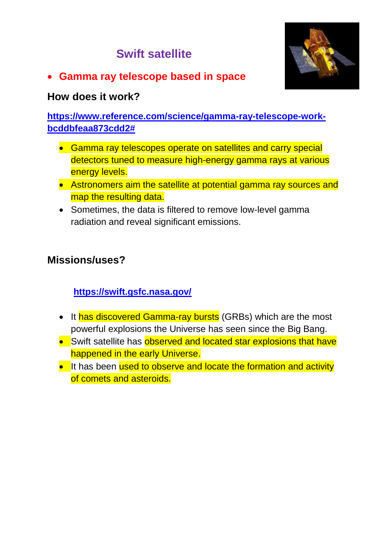# **Swift satellite**



**Gamma ray telescope based in space**

### **How does it work?**

**[https://www.reference.com/science/gamma-ray-telescope-work](https://www.reference.com/science/gamma-ray-telescope-work-bcddbfeaa873cdd2)[bcddbfeaa873cdd2#](https://www.reference.com/science/gamma-ray-telescope-work-bcddbfeaa873cdd2)**

- Gamma ray telescopes operate on satellites and carry special detectors tuned to measure high-energy gamma rays at various energy levels.
- Astronomers aim the satellite at potential gamma ray sources and map the resulting data.
- Sometimes, the data is filtered to remove low-level gamma radiation and reveal significant emissions.

## **Missions/uses?**

**<https://swift.gsfc.nasa.gov/>**

- It has discovered Gamma-ray bursts (GRBs) which are the most powerful explosions the Universe has seen since the Big Bang.
- Swift satellite has observed and located star explosions that have happened in the early Universe.
- It has been used to observe and locate the formation and activity of comets and asteroids.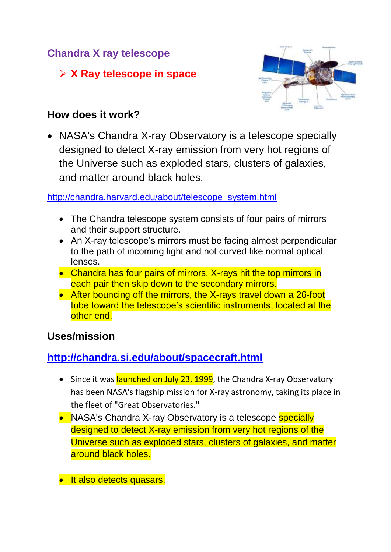## **Chandra X ray telescope**

## **X Ray telescope in space**



## **How does it work?**

• NASA's Chandra X-ray Observatory is a telescope specially designed to detect X-ray emission from very hot regions of the Universe such as exploded stars, clusters of galaxies, and matter around black holes.

[http://chandra.harvard.edu/about/telescope\\_system.html](http://chandra.harvard.edu/about/telescope_system.html)

- The Chandra telescope system consists of four pairs of mirrors and their support structure.
- An X-ray telescope's mirrors must be facing almost perpendicular to the path of incoming light and not curved like normal optical lenses.
- Chandra has four pairs of mirrors. X-rays hit the top mirrors in each pair then skip down to the secondary mirrors.
- After bouncing off the mirrors, the X-rays travel down a 26-foot tube toward the telescope's scientific instruments, located at the other end.

## **Uses/mission**

## **<http://chandra.si.edu/about/spacecraft.html>**

- Since it was launched on July 23, 1999, the Chandra X-ray Observatory has been NASA's flagship mission for X-ray astronomy, taking its place in the fleet of "Great Observatories."
- NASA's Chandra X-ray Observatory is a telescope specially designed to detect X-ray emission from very hot regions of the Universe such as exploded stars, clusters of galaxies, and matter around black holes.
- **It also detects quasars.**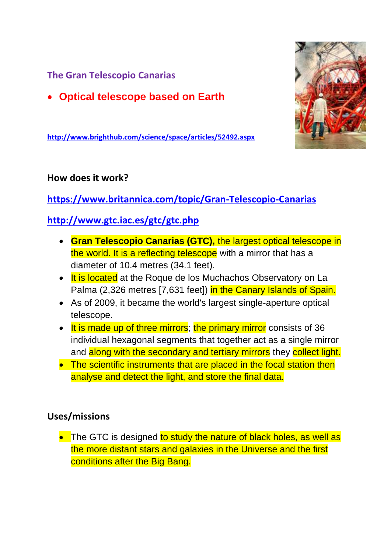**The Gran Telescopio Canarias** 

**Optical telescope based on Earth**



**<http://www.brighthub.com/science/space/articles/52492.aspx>**

#### **How does it work?**

**<https://www.britannica.com/topic/Gran-Telescopio-Canarias>**

## **<http://www.gtc.iac.es/gtc/gtc.php>**

- **Gran Telescopio Canarias (GTC),** the largest optical telescope in the world. It is a reflecting telescope with a mirror that has a diameter of 10.4 metres (34.1 feet).
- It is located at the Roque de los Muchachos Observatory on La Palma (2,326 metres [7,631 feet]) in the [Canary Islands](https://www.britannica.com/place/Canary-Islands) of [Spain.](https://www.britannica.com/place/Spain)
- As of 2009, it became the world's largest single-aperture optical telescope.
- It is made up of three mirrors; the primary mirror consists of 36 individual hexagonal segments that together act as a single mirror and along with the secondary and tertiary mirrors they collect light.
- The scientific instruments that are placed in the focal station then analyse and detect the light, and store the final data.

#### **Uses/missions**

• The GTC is designed to study the nature of black holes, as well as the more distant stars and galaxies in the Universe and the first conditions after the Big Bang.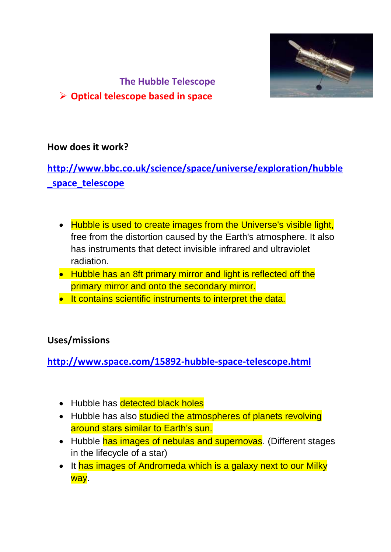

#### **The Hubble Telescope**

#### **Optical telescope based in space**

#### **How does it work?**

# **[http://www.bbc.co.uk/science/space/universe/exploration/hubble](http://www.bbc.co.uk/science/space/universe/exploration/hubble_space_telescope) [\\_space\\_telescope](http://www.bbc.co.uk/science/space/universe/exploration/hubble_space_telescope)**

- Hubble is used to create images from the Universe's visible light, free from the distortion caused by the [Earth's](http://www.bbc.co.uk/science/space/solarsystem/sun_and_planets/earth) atmosphere. It also has instruments that detect invisible infrared and ultraviolet radiation.
- Hubble has an 8ft primary mirror and light is reflected off the primary mirror and onto the secondary mirror.
- **It contains scientific instruments to interpret the data.**

#### **Uses/missions**

**<http://www.space.com/15892-hubble-space-telescope.html>**

- Hubble has detected black holes
- Hubble has also studied the atmospheres of planets revolving around stars similar to Earth's sun.
- Hubble has images of nebulas and supernovas. (Different stages in the lifecycle of a star)
- It has images of Andromeda which is a galaxy next to our Milky way.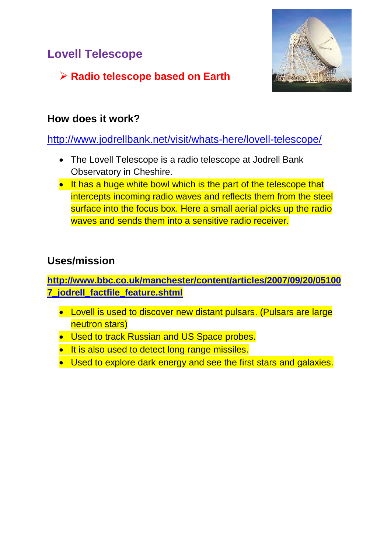# **Lovell Telescope**



# **Radio telescope based on Earth**

## **How does it work?**

<http://www.jodrellbank.net/visit/whats-here/lovell-telescope/>

- The Lovell Telescope is a [radio telescope](https://en.wikipedia.org/wiki/Radio_telescope) at [Jodrell Bank](https://en.wikipedia.org/wiki/Jodrell_Bank_Observatory)  [Observatory](https://en.wikipedia.org/wiki/Jodrell_Bank_Observatory) in [Cheshire.](https://en.wikipedia.org/wiki/Cheshire)
- It has a huge white bowl which is the part of the telescope that intercepts incoming radio waves and reflects them from the steel surface into the focus box. Here a small aerial picks up the radio waves and sends them into a sensitive radio receiver.

## **Uses/mission**

**[http://www.bbc.co.uk/manchester/content/articles/2007/09/20/05100](http://www.bbc.co.uk/manchester/content/articles/2007/09/20/051007_jodrell_factfile_feature.shtml) [7\\_jodrell\\_factfile\\_feature.shtml](http://www.bbc.co.uk/manchester/content/articles/2007/09/20/051007_jodrell_factfile_feature.shtml)**

- Lovell is used to discover new distant pulsars. (Pulsars are large neutron stars)
- **Used to track Russian and US Space probes.**
- **It is also used to detect long range missiles.**
- Used to explore dark energy and see the first stars and galaxies.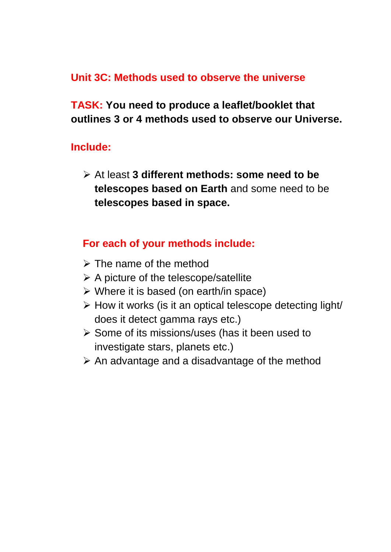## **Unit 3C: Methods used to observe the universe**

**TASK: You need to produce a leaflet/booklet that outlines 3 or 4 methods used to observe our Universe.**

#### **Include:**

 At least **3 different methods: some need to be telescopes based on Earth** and some need to be **telescopes based in space.**

## **For each of your methods include:**

- $\triangleright$  The name of the method
- $\triangleright$  A picture of the telescope/satellite
- $\triangleright$  Where it is based (on earth/in space)
- $\triangleright$  How it works (is it an optical telescope detecting light/ does it detect gamma rays etc.)
- $\triangleright$  Some of its missions/uses (has it been used to investigate stars, planets etc.)
- $\triangleright$  An advantage and a disadvantage of the method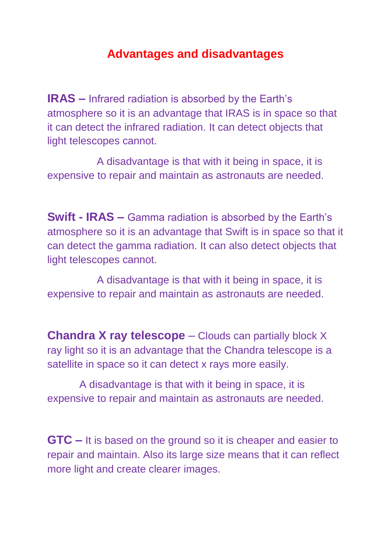# **Advantages and disadvantages**

**IRAS –** Infrared radiation is absorbed by the Earth's atmosphere so it is an advantage that IRAS is in space so that it can detect the infrared radiation. It can detect objects that light telescopes cannot.

 A disadvantage is that with it being in space, it is expensive to repair and maintain as astronauts are needed.

**Swift - IRAS –** Gamma radiation is absorbed by the Earth's atmosphere so it is an advantage that Swift is in space so that it can detect the gamma radiation. It can also detect objects that light telescopes cannot.

 A disadvantage is that with it being in space, it is expensive to repair and maintain as astronauts are needed.

**Chandra X ray telescope** – Clouds can partially block X ray light so it is an advantage that the Chandra telescope is a satellite in space so it can detect x rays more easily.

 A disadvantage is that with it being in space, it is expensive to repair and maintain as astronauts are needed.

**GTC –** It is based on the ground so it is cheaper and easier to repair and maintain. Also its large size means that it can reflect more light and create clearer images.